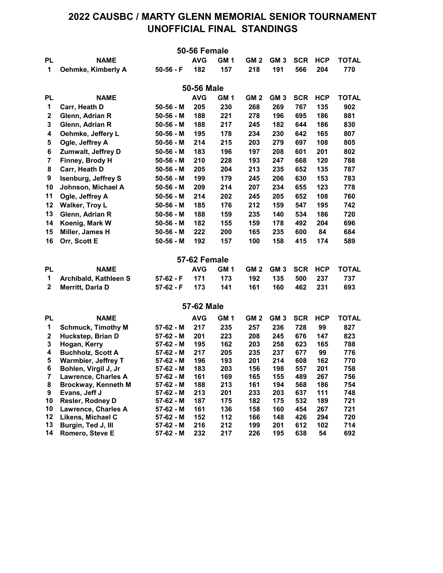## 2022 CAUSBC / MARTY GLENN MEMORIAL SENIOR TOURNAMENT UNOFFICIAL FINAL STANDINGS

|              |                                                |                        | <b>50-56 Female</b> |                 |                 |                 |            |            |              |
|--------------|------------------------------------------------|------------------------|---------------------|-----------------|-----------------|-----------------|------------|------------|--------------|
| <b>PL</b>    | <b>NAME</b>                                    |                        | <b>AVG</b>          | GM <sub>1</sub> | GM <sub>2</sub> | GM <sub>3</sub> | <b>SCR</b> | <b>HCP</b> | <b>TOTAL</b> |
| 1            | Oehmke, Kimberly A                             | $50-56 - F$            | 182                 | 157             | 218             | 191             | 566        | 204        | 770          |
|              |                                                |                        |                     |                 |                 |                 |            |            |              |
|              |                                                |                        | 50-56 Male          |                 |                 |                 |            |            |              |
| <b>PL</b>    | <b>NAME</b>                                    |                        | <b>AVG</b>          | GM <sub>1</sub> | GM <sub>2</sub> | GM <sub>3</sub> | <b>SCR</b> | <b>HCP</b> | <b>TOTAL</b> |
| 1            | Carr, Heath D                                  | $50 - 56 - M$          | 205                 | 230             | 268             | 269             | 767        | 135        | 902          |
| 2            | Glenn, Adrian R                                | $50-56 - M$            | 188                 | 221             | 278             | 196             | 695        | 186        | 881          |
| 3            | Glenn, Adrian R                                | $50-56 - M$            | 188                 | 217             | 245             | 182             | 644        | 186        | 830          |
| 4            | Oehmke, Jeffery L                              | $50-56 - M$            | 195                 | 178             | 234             | 230             | 642        | 165        | 807          |
| 5            | Ogle, Jeffrey A                                | $50-56 - M$            | 214                 | 215             | 203             | 279             | 697        | 108        | 805          |
| 6            | Zumwalt, Jeffrey D                             | $50-56 - M$            | 183                 | 196             | 197             | 208             | 601        | 201        | 802          |
| 7            | Finney, Brody H                                | $50-56 - M$            | 210                 | 228             | 193             | 247             | 668        | 120        | 788          |
| 8            | Carr, Heath D                                  | $50 - 56 - M$          | 205                 | 204             | 213             | 235             | 652        | 135        | 787          |
| 9            | <b>Isenburg, Jeffrey S</b>                     | $50-56 - M$            | 199                 | 179             | 245             | 206             | 630        | 153        | 783          |
| 10           | Johnson, Michael A                             | $50-56 - M$            | 209                 | 214             | 207             | 234             | 655        | 123        | 778          |
| 11           | Ogle, Jeffrey A                                | $50-56 - M$            | 214                 | 202             | 245             | 205             | 652        | 108        | 760          |
| 12           | <b>Walker, Troy L</b>                          | $50-56 - M$            | 185                 | 176             | 212             | 159             | 547        | 195        | 742          |
| 13           | Glenn, Adrian R                                | $50-56 - M$            | 188                 | 159             | 235             | 140             | 534        | 186        | 720          |
| 14           | Koenig, Mark W                                 | $50-56 - M$            | 182                 | 155             | 159             | 178             | 492        | 204        | 696          |
| 15           | Miller, James H                                | $50-56 - M$            | 222                 | 200             | 165             | 235             | 600        | 84         | 684          |
| 16           | Orr, Scott E                                   | $50-56 - M$            | 192                 | 157             | 100             | 158             | 415        | 174        | 589          |
|              |                                                |                        |                     |                 |                 |                 |            |            |              |
|              |                                                |                        | 57-62 Female        |                 |                 |                 |            |            |              |
| <b>PL</b>    | <b>NAME</b>                                    |                        | <b>AVG</b>          | GM <sub>1</sub> | GM <sub>2</sub> | GM <sub>3</sub> | <b>SCR</b> | <b>HCP</b> | <b>TOTAL</b> |
| 1            | Archibald, Kathleen S                          | 57-62 - F              | 171                 | 173             | 192             | 135             | 500        | 237        | 737          |
| $\mathbf{2}$ | Merritt, Darla D                               | $57-62 - F$            | 173                 | 141             | 161             | 160             | 462        | 231        | 693          |
|              |                                                |                        |                     |                 |                 |                 |            |            |              |
|              |                                                |                        | 57-62 Male          |                 |                 |                 |            |            |              |
| <b>PL</b>    | <b>NAME</b>                                    |                        | <b>AVG</b>          | GM <sub>1</sub> | GM <sub>2</sub> | GM <sub>3</sub> | <b>SCR</b> | <b>HCP</b> | <b>TOTAL</b> |
| 1            | <b>Schmuck, Timothy M</b>                      | 57-62 - M              | 217                 | 235             | 257             | 236             | 728        | 99         | 827          |
| $\mathbf 2$  | Huckstep, Brian D                              | 57-62 - M              | 201                 | 223             | 208             | 245             | 676        | 147        | 823          |
| 3            | Hogan, Kerry                                   | 57-62 - M              | 195                 | 162             | 203             | 258             | 623        | 165        | 788          |
| 4            | <b>Buchholz, Scott A</b>                       | 57-62 - M              | 217                 | 205             | 235             | 237             | 677        | 99         | 776          |
| $\sqrt{5}$   | <b>Warmbier, Jeffrey T</b>                     | 57-62 - M              | 196                 | 193             | 201             | 214             | 608        | 162        | 770          |
| 6            | Bohlen, Virgil J, Jr                           | 57-62 - M              | 183                 | 203             | 156             | 198             | 557        | 201        | 758          |
| 7            | Lawrence, Charles A                            | 57-62 - M              | 161                 | 169             | 165             | 155             | 489        | 267        | 756          |
| 8            | Brockway, Kenneth M                            | 57-62 - M              | 188                 | 213             | 161             | 194             | 568        | 186        | 754          |
| 9<br>10      | Evans, Jeff J                                  | 57-62 - M              | 213                 | 201             | 233             | 203             | 637        | 111        | 748          |
| 10           | Resler, Rodney D<br><b>Lawrence, Charles A</b> | 57-62 - M<br>57-62 - M | 187<br>161          | 175<br>136      | 182<br>158      | 175<br>160      | 532<br>454 | 189<br>267 | 721<br>721   |
| 12           | Likens, Michael C                              | 57-62 - M              | 152                 | 112             | 166             | 148             | 426        | 294        | 720          |
| 13           | Burgin, Ted J, Ill                             | 57-62 - M              | 216                 | 212             | 199             | 201             | 612        | 102        | 714          |
| 14           | Romero, Steve E                                | 57-62 - M              | 232                 | 217             | 226             | 195             | 638        | 54         | 692          |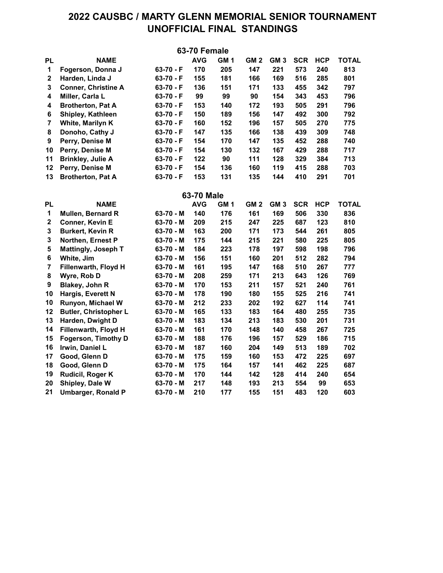## 2022 CAUSBC / MARTY GLENN MEMORIAL SENIOR TOURNAMENT UNOFFICIAL FINAL STANDINGS

|                |                              |             | 63-70 Female      |                 |                 |                 |            |            |              |
|----------------|------------------------------|-------------|-------------------|-----------------|-----------------|-----------------|------------|------------|--------------|
| <b>PL</b>      | <b>NAME</b>                  |             | <b>AVG</b>        | GM <sub>1</sub> | GM <sub>2</sub> | GM <sub>3</sub> | <b>SCR</b> | <b>HCP</b> | <b>TOTAL</b> |
| $\mathbf 1$    | Fogerson, Donna J            | 63-70 - F   | 170               | 205             | 147             | 221             | 573        | 240        | 813          |
| $\mathbf 2$    | Harden, Linda J              | $63-70 - F$ | 155               | 181             | 166             | 169             | 516        | 285        | 801          |
| 3              | <b>Conner, Christine A</b>   | 63-70 - F   | 136               | 151             | 171             | 133             | 455        | 342        | 797          |
| 4              | Miller, Carla L              | $63-70 - F$ | 99                | 99              | 90              | 154             | 343        | 453        | 796          |
| 4              | <b>Brotherton, Pat A</b>     | $63-70 - F$ | 153               | 140             | 172             | 193             | 505        | 291        | 796          |
| 6              | Shipley, Kathleen            | $63-70 - F$ | 150               | 189             | 156             | 147             | 492        | 300        | 792          |
| $\overline{7}$ | White, Marilyn K             | $63-70 - F$ | 160               | 152             | 196             | 157             | 505        | 270        | 775          |
| 8              | Donoho, Cathy J              | $63-70 - F$ | 147               | 135             | 166             | 138             | 439        | 309        | 748          |
| 9              | Perry, Denise M              | 63-70 - F   | 154               | 170             | 147             | 135             | 452        | 288        | 740          |
| 10             | Perry, Denise M              | $63-70 - F$ | 154               | 130             | 132             | 167             | 429        | 288        | 717          |
| 11             | <b>Brinkley, Julie A</b>     | 63-70 - F   | 122               | 90              | 111             | 128             | 329        | 384        | 713          |
| 12             | Perry, Denise M              | $63-70 - F$ | 154               | 136             | 160             | 119             | 415        | 288        | 703          |
| 13             | <b>Brotherton, Pat A</b>     | $63-70 - F$ | 153               | 131             | 135             | 144             | 410        | 291        | 701          |
|                |                              |             | <b>63-70 Male</b> |                 |                 |                 |            |            |              |
| PL             | <b>NAME</b>                  |             | <b>AVG</b>        | GM <sub>1</sub> | GM <sub>2</sub> | GM <sub>3</sub> | <b>SCR</b> | <b>HCP</b> | <b>TOTAL</b> |
| 1              | Mullen, Bernard R            | $63-70 - M$ | 140               | 176             | 161             | 169             | 506        | 330        | 836          |
| $\mathbf 2$    | Conner, Kevin E              | $63-70 - M$ | 209               | 215             | 247             | 225             | 687        | 123        | 810          |
| 3              | <b>Burkert, Kevin R</b>      | $63-70 - M$ | 163               | 200             | 171             | 173             | 544        | 261        | 805          |
| $\mathbf 3$    | Northen, Ernest P            | 63-70 - M   | 175               | 144             | 215             | 221             | 580        | 225        | 805          |
| 5              | <b>Mattingly, Joseph T</b>   | $63-70 - M$ | 184               | 223             | 178             | 197             | 598        | 198        | 796          |
| 6              | White, Jim                   | 63-70 - M   | 156               | 151             | 160             | 201             | 512        | 282        | 794          |
| $\overline{7}$ | Fillenwarth, Floyd H         | 63-70 - M   | 161               | 195             | 147             | 168             | 510        | 267        | 777          |
| 8              | Wyre, Rob D                  | $63-70 - M$ | 208               | 259             | 171             | 213             | 643        | 126        | 769          |
| 9              | Blakey, John R               | $63-70 - M$ | 170               | 153             | 211             | 157             | 521        | 240        | 761          |
| 10             | Hargis, Everett N            | $63-70 - M$ | 178               | 190             | 180             | 155             | 525        | 216        | 741          |
| 10             | Runyon, Michael W            | $63-70 - M$ | 212               | 233             | 202             | 192             | 627        | 114        | 741          |
| 12             | <b>Butler, Christopher L</b> | 63-70 - M   | 165               | 133             | 183             | 164             | 480        | 255        | 735          |
| 13             | Harden, Dwight D             | $63-70 - M$ | 183               | 134             | 213             | 183             | 530        | 201        | 731          |
| 14             | Fillenwarth, Floyd H         | 63-70 - M   | 161               | 170             | 148             | 140             | 458        | 267        | 725          |
| 15             | Fogerson, Timothy D          | 63-70 - M   | 188               | 176             | 196             | 157             | 529        | 186        | 715          |
| 16             | Irwin, Daniel L              | $63-70 - M$ | 187               | 160             | 204             | 149             | 513        | 189        | 702          |
| 17             | Good, Glenn D                | $63-70 - M$ | 175               | 159             | 160             | 153             | 472        | 225        | 697          |
| 18             | Good, Glenn D                | $63-70 - M$ | 175               | 164             | 157             | 141             | 462        | 225        | 687          |
| 19             | Rudicil, Roger K             | $63-70 - M$ | 170               | 144             | 142             | 128             | 414        | 240        | 654          |
| 20             | Shipley, Dale W              | 63-70 - M   | 217               | 148             | 193             | 213             | 554        | 99         | 653          |
| 21             | <b>Umbarger, Ronald P</b>    | 63-70 - M   | 210               | 177             | 155             | 151             | 483        | 120        | 603          |